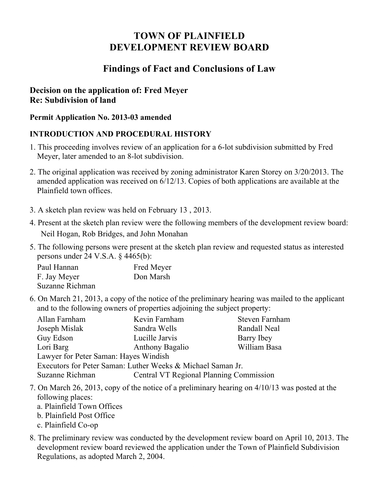# **TOWN OF PLAINFIELD DEVELOPMENT REVIEW BOARD**

## **Findings of Fact and Conclusions of Law**

## **Decision on the application of: Fred Meyer Re: Subdivision of land**

#### **Permit Application No. 2013-03 amended**

## **INTRODUCTION AND PROCEDURAL HISTORY**

- 1. This proceeding involves review of an application for a 6-lot subdivision submitted by Fred Meyer, later amended to an 8-lot subdivision.
- 2. The original application was received by zoning administrator Karen Storey on 3/20/2013. The amended application was received on 6/12/13. Copies of both applications are available at the Plainfield town offices.
- 3. A sketch plan review was held on February 13 , 2013.
- 4. Present at the sketch plan review were the following members of the development review board: Neil Hogan, Rob Bridges, and John Monahan
- 5. The following persons were present at the sketch plan review and requested status as interested persons under 24 V.S.A. § 4465(b):

| Paul Hannan     | <b>Fred Meyer</b> |
|-----------------|-------------------|
| F. Jay Meyer    | Don Marsh         |
| Suzanne Richman |                   |

6. On March 21, 2013, a copy of the notice of the preliminary hearing was mailed to the applicant and to the following owners of properties adjoining the subject property:

| Allan Farnham                                               | Kevin Farnham                           | Steven Farnham |  |  |
|-------------------------------------------------------------|-----------------------------------------|----------------|--|--|
| Joseph Mislak                                               | Sandra Wells                            | Randall Neal   |  |  |
| Guy Edson                                                   | Lucille Jarvis                          | Barry Ibey     |  |  |
| Lori Barg                                                   | <b>Anthony Bagalio</b>                  | William Basa   |  |  |
| Lawyer for Peter Saman: Hayes Windish                       |                                         |                |  |  |
| Executors for Peter Saman: Luther Weeks & Michael Saman Jr. |                                         |                |  |  |
| Suzanne Richman                                             | Central VT Regional Planning Commission |                |  |  |

- 7. On March 26, 2013, copy of the notice of a preliminary hearing on 4/10/13 was posted at the following places:
	- a. Plainfield Town Offices
	- b. Plainfield Post Office
	- c. Plainfield Co-op
- 8. The preliminary review was conducted by the development review board on April 10, 2013. The development review board reviewed the application under the Town of Plainfield Subdivision Regulations, as adopted March 2, 2004.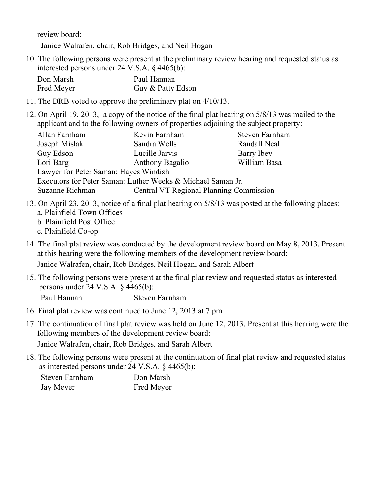review board:

Janice Walrafen, chair, Rob Bridges, and Neil Hogan

10. The following persons were present at the preliminary review hearing and requested status as interested persons under 24 V.S.A. § 4465(b):

| Don Marsh  | Paul Hannan       |
|------------|-------------------|
| Fred Meyer | Guy & Patty Edson |

- 11. The DRB voted to approve the preliminary plat on 4/10/13.
- 12. On April 19, 2013, a copy of the notice of the final plat hearing on 5/8/13 was mailed to the applicant and to the following owners of properties adjoining the subject property:

| Allan Farnham                         | Kevin Farnham                                               | Steven Farnham |  |  |
|---------------------------------------|-------------------------------------------------------------|----------------|--|--|
| Joseph Mislak                         | Sandra Wells                                                | Randall Neal   |  |  |
| Guy Edson                             | Lucille Jarvis                                              | Barry Ibey     |  |  |
| Lori Barg                             | <b>Anthony Bagalio</b>                                      | William Basa   |  |  |
| Lawyer for Peter Saman: Hayes Windish |                                                             |                |  |  |
|                                       | Executors for Peter Saman: Luther Weeks & Michael Saman Jr. |                |  |  |
| Suzanne Richman                       | <b>Central VT Regional Planning Commission</b>              |                |  |  |

- 13. On April 23, 2013, notice of a final plat hearing on 5/8/13 was posted at the following places: a. Plainfield Town Offices
	- b. Plainfield Post Office
	- c. Plainfield Co-op
- 14. The final plat review was conducted by the development review board on May 8, 2013. Present at this hearing were the following members of the development review board: Janice Walrafen, chair, Rob Bridges, Neil Hogan, and Sarah Albert
- 15. The following persons were present at the final plat review and requested status as interested persons under 24 V.S.A. § 4465(b):

Paul Hannan Steven Farnham

- 16. Final plat review was continued to June 12, 2013 at 7 pm.
- 17. The continuation of final plat review was held on June 12, 2013. Present at this hearing were the following members of the development review board:

Janice Walrafen, chair, Rob Bridges, and Sarah Albert

18. The following persons were present at the continuation of final plat review and requested status as interested persons under 24 V.S.A. § 4465(b):

| Steven Farnham | Don Marsh  |
|----------------|------------|
| Jay Meyer      | Fred Meyer |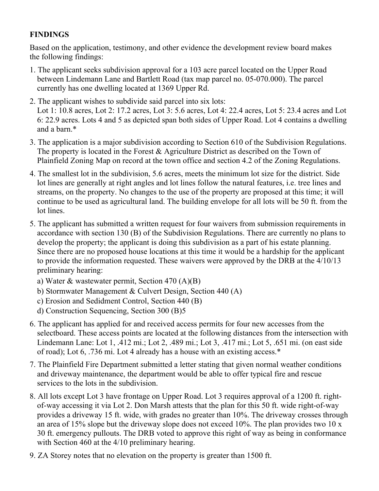## **FINDINGS**

Based on the application, testimony, and other evidence the development review board makes the following findings:

- 1. The applicant seeks subdivision approval for a 103 acre parcel located on the Upper Road between Lindemann Lane and Bartlett Road (tax map parcel no. 05-070.000). The parcel currently has one dwelling located at 1369 Upper Rd.
- 2. The applicant wishes to subdivide said parcel into six lots: Lot 1: 10.8 acres, Lot 2: 17.2 acres, Lot 3: 5.6 acres, Lot 4: 22.4 acres, Lot 5: 23.4 acres and Lot 6: 22.9 acres. Lots 4 and 5 as depicted span both sides of Upper Road. Lot 4 contains a dwelling and a barn.\*
- 3. The application is a major subdivision according to Section 610 of the Subdivision Regulations. The property is located in the Forest & Agriculture District as described on the Town of Plainfield Zoning Map on record at the town office and section 4.2 of the Zoning Regulations.
- 4. The smallest lot in the subdivision, 5.6 acres, meets the minimum lot size for the district. Side lot lines are generally at right angles and lot lines follow the natural features, i.e. tree lines and streams, on the property. No changes to the use of the property are proposed at this time; it will continue to be used as agricultural land. The building envelope for all lots will be 50 ft. from the lot lines.
- 5. The applicant has submitted a written request for four waivers from submission requirements in accordance with section 130 (B) of the Subdivision Regulations. There are currently no plans to develop the property; the applicant is doing this subdivision as a part of his estate planning. Since there are no proposed house locations at this time it would be a hardship for the applicant to provide the information requested. These waivers were approved by the DRB at the 4/10/13 preliminary hearing:
	- a) Water & wastewater permit, Section 470 (A)(B)
	- b) Stormwater Management & Culvert Design, Section 440 (A)
	- c) Erosion and Sedidment Control, Section 440 (B)
	- d) Construction Sequencing, Section 300 (B)5
- 6. The applicant has applied for and received access permits for four new accesses from the selectboard. These access points are located at the following distances from the intersection with Lindemann Lane: Lot 1, .412 mi.; Lot 2, .489 mi.; Lot 3, .417 mi.; Lot 5, .651 mi. (on east side of road); Lot 6, .736 mi. Lot 4 already has a house with an existing access.\*
- 7. The Plainfield Fire Department submitted a letter stating that given normal weather conditions and driveway maintenance, the department would be able to offer typical fire and rescue services to the lots in the subdivision.
- 8. All lots except Lot 3 have frontage on Upper Road. Lot 3 requires approval of a 1200 ft. rightof-way accessing it via Lot 2. Don Marsh attests that the plan for this 50 ft. wide right-of-way provides a driveway 15 ft. wide, with grades no greater than 10%. The driveway crosses through an area of 15% slope but the driveway slope does not exceed 10%. The plan provides two 10 x 30 ft. emergency pullouts. The DRB voted to approve this right of way as being in conformance with Section 460 at the 4/10 preliminary hearing.
- 9. ZA Storey notes that no elevation on the property is greater than 1500 ft.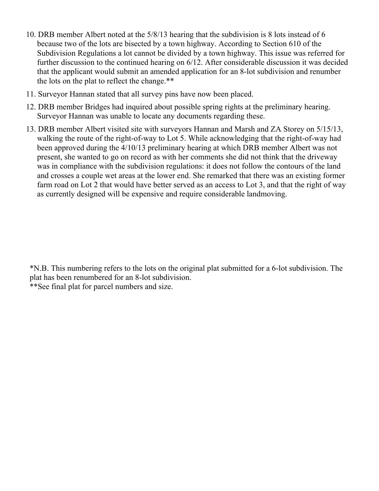- 10. DRB member Albert noted at the 5/8/13 hearing that the subdivision is 8 lots instead of 6 because two of the lots are bisected by a town highway. According to Section 610 of the Subdivision Regulations a lot cannot be divided by a town highway. This issue was referred for further discussion to the continued hearing on 6/12. After considerable discussion it was decided that the applicant would submit an amended application for an 8-lot subdivision and renumber the lots on the plat to reflect the change.\*\*
- 11. Surveyor Hannan stated that all survey pins have now been placed.
- 12. DRB member Bridges had inquired about possible spring rights at the preliminary hearing. Surveyor Hannan was unable to locate any documents regarding these.
- 13. DRB member Albert visited site with surveyors Hannan and Marsh and ZA Storey on 5/15/13, walking the route of the right-of-way to Lot 5. While acknowledging that the right-of-way had been approved during the 4/10/13 preliminary hearing at which DRB member Albert was not present, she wanted to go on record as with her comments she did not think that the driveway was in compliance with the subdivision regulations: it does not follow the contours of the land and crosses a couple wet areas at the lower end. She remarked that there was an existing former farm road on Lot 2 that would have better served as an access to Lot 3, and that the right of way as currently designed will be expensive and require considerable landmoving.

\*N.B. This numbering refers to the lots on the original plat submitted for a 6-lot subdivision. The plat has been renumbered for an 8-lot subdivision. \*\*See final plat for parcel numbers and size.